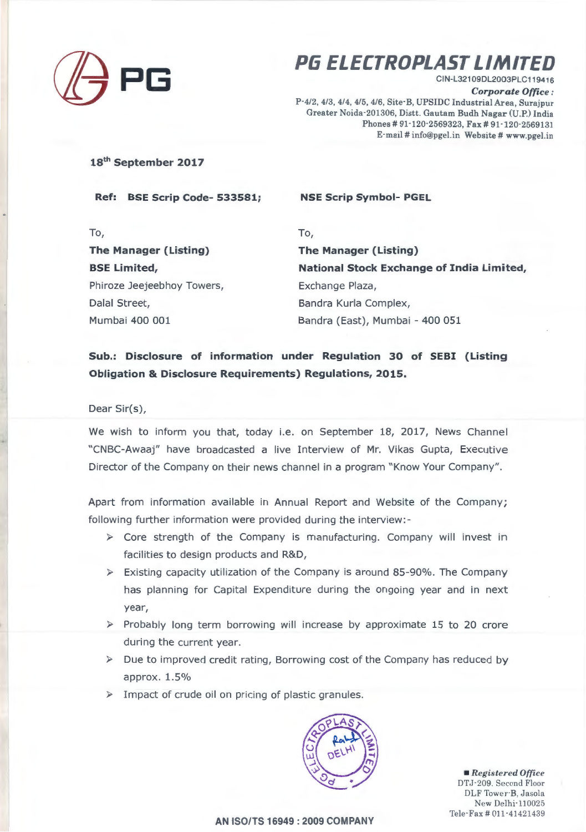

## **PG ELECTROPLAST LIMITED**

CIN-L32109DL2003PLC119416 *Corporate Office :*  P-4/2, 4/3, 4/4, 4/5, 4/6, Site-B, UPSIDC Industrial Area, Surajpur Greater Noida-201306, Distt. Gautam Budh Nagar (U.P.) India Phones # 91-120-2569323, Fax # 91-120-2569131 E-mail# info@pgel.in Website# www.pgel.in

**18th September 2017** 

**Ref: BSE Scrip Code- 533581; NSE Scrip Symbol- PGEL** 

To, To, **The Manager {Listing) BSE Limited,**  Phiroze Jeejeebhoy Towers, Exchange Plaza, Dalal Street, Bandra Kurla Complex,

**The Manager {Listing) National Stock Exchange of India Limited,**  Mum ba i 400 001 Bandra (East), Mumbai - 400 051

**Sub.: Disclosure of information under Regulation 30 of SEBI {Listing Obligation & Disclosure Requirements) Regulations, 2015.** 

Dear Sir(s),

We wish to inform you that, today i.e. on September 18, 2017, News Channel " CNBC-Awaaj" have broadcasted a live Interview of Mr. Vikas Gupta, Executive Director of the Company on their news channel in a program "Know Your Company".

Apart from information available in Annual Report and Website of the Company; following further information were provided during the interview:-

- $\triangleright$  Core strength of the Company is manufacturing. Company will invest in facilities to design products and R&D,
- $\triangleright$  Existing capacity utilization of the Company is around 85-90%. The Company has planning for Capital Expenditure during the ongoing year and in next year,
- $\triangleright$  Probably long term borrowing will increase by approximate 15 to 20 crore during the current year.
- $\triangleright$  Due to improved credit rating, Borrowing cost of the Company has reduced by approx. 1.5%
- > Impact of crude oil on pricing of plastic granules.



• *Registered Office*  DTJ-209. Second Floor DLF Tower-B, Jasola New Delhi-110025 Tele-Fax # 011-41421439

**AN ISO/TS 16949:2009 COMPANY**